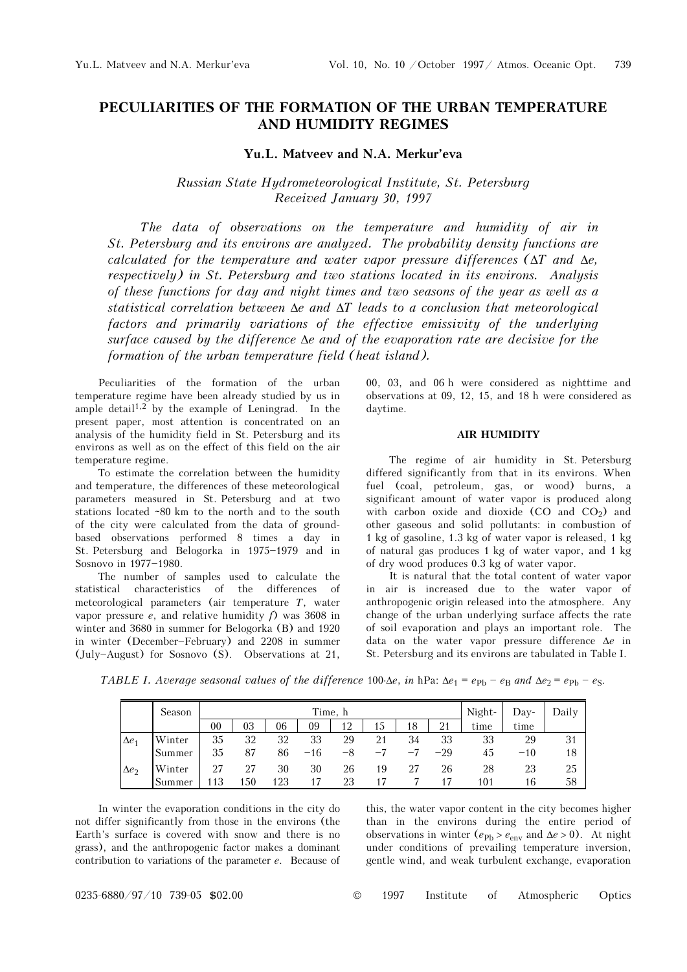# **PECULIARITIES OF THE FORMATION OF THE URBAN TEMPERATURE AND HUMIDITY REGIMES**

## **Yu.L. Matveev and N.A. Merkur'eva**

*Russian State Hydrometeorological Institute, St. Petersburg Received January 30, 1997* 

*The data of observations on the temperature and humidity of air in St. Petersburg and its environs are analyzed. The probability density functions are calculated for the temperature and water vapor pressure differences (*Δ*T and* Δ*e, respectively) in St. Petersburg and two stations located in its environs. Analysis of these functions for day and night times and two seasons of the year as well as a statistical correlation between* Δ*e and* Δ*T leads to a conclusion that meteorological*  factors and primarily variations of the effective emissivity of the underlying *surface caused by the difference* Δ*e and of the evaporation rate are decisive for the formation of the urban temperature field (heat island).* 

Peculiarities of the formation of the urban temperature regime have been already studied by us in ample detail<sup>1,2</sup> by the example of Leningrad. In the present paper, most attention is concentrated on an analysis of the humidity field in St. Petersburg and its environs as well as on the effect of this field on the air temperature regime.

To estimate the correlation between the humidity and temperature, the differences of these meteorological parameters measured in St. Petersburg and at two stations located ~80 km to the north and to the south of the city were calculated from the data of groundbased observations performed 8 times a day in St. Petersburg and Belogorka in  $1975-1979$  and in Sosnovo in 1977-1980.

The number of samples used to calculate the statistical characteristics of the differences of meteorological parameters (air temperature *T*, water vapor pressure *e*, and relative humidity *f*) was 3608 in winter and 3680 in summer for Belogorka (B) and 1920 in winter (December-February) and 2208 in summer (July\$August) for Sosnovo (S). Observations at 21,

00, 03, and 06 h were considered as nighttime and observations at 09, 12, 15, and 18 h were considered as daytime.

#### **AIR HUMIDITY**

The regime of air humidity in St. Petersburg differed significantly from that in its environs. When fuel (coal, petroleum, gas, or wood) burns, a significant amount of water vapor is produced along with carbon oxide and dioxide  $(CO \text{ and } CO_2)$  and other gaseous and solid pollutants: in combustion of 1 kg of gasoline, 1.3 kg of water vapor is released, 1 kg of natural gas produces 1 kg of water vapor, and 1 kg of dry wood produces 0.3 kg of water vapor.

It is natural that the total content of water vapor in air is increased due to the water vapor of anthropogenic origin released into the atmosphere. Any change of the urban underlying surface affects the rate of soil evaporation and plays an important role. The data on the water vapor pressure difference Δ*e* in St. Petersburg and its environs are tabulated in Table I.

*TABLE I. Average seasonal values of the difference 100⋅Δ<i>e*, *in* hPa:  $\Delta e_1 = e_{\text{Pb}} - e_{\text{B}}$  *and*  $\Delta e_2 = e_{\text{Pb}} - e_{\text{S}}$ .

|              | Season |    |     |     | Night- | Day- | Dailv |      |       |      |       |    |
|--------------|--------|----|-----|-----|--------|------|-------|------|-------|------|-------|----|
|              |        | 00 | 03  | 06  | 09     | 12   | 15    | 18   | 21    | time | time  |    |
| $\Delta e_1$ | Winter | 35 | 32  | 32  | 33     | 29   | 21    | 34   | 33    | 33   | 29    | 31 |
|              | Summer | 35 | 87  | 86  | $-16$  |      | $-7$  | $-7$ | $-29$ | 45   | $-10$ | 18 |
| $\Delta e_2$ | Winter | 27 | 27  | 30  | 30     | 26   | 19    | 27   | 26    | 28   | 23    | 25 |
|              | Summer | 13 | 150 | 123 | 17     | 23   |       |      |       | 101  | 16    | 58 |

In winter the evaporation conditions in the city do not differ significantly from those in the environs (the Earth's surface is covered with snow and there is no grass), and the anthropogenic factor makes a dominant contribution to variations of the parameter *e*. Because of this, the water vapor content in the city becomes higher than in the environs during the entire period of observations in winter  $(e_{Pb} > e_{env}$  and  $\Delta e > 0$ ). At night under conditions of prevailing temperature inversion, gentle wind, and weak turbulent exchange, evaporation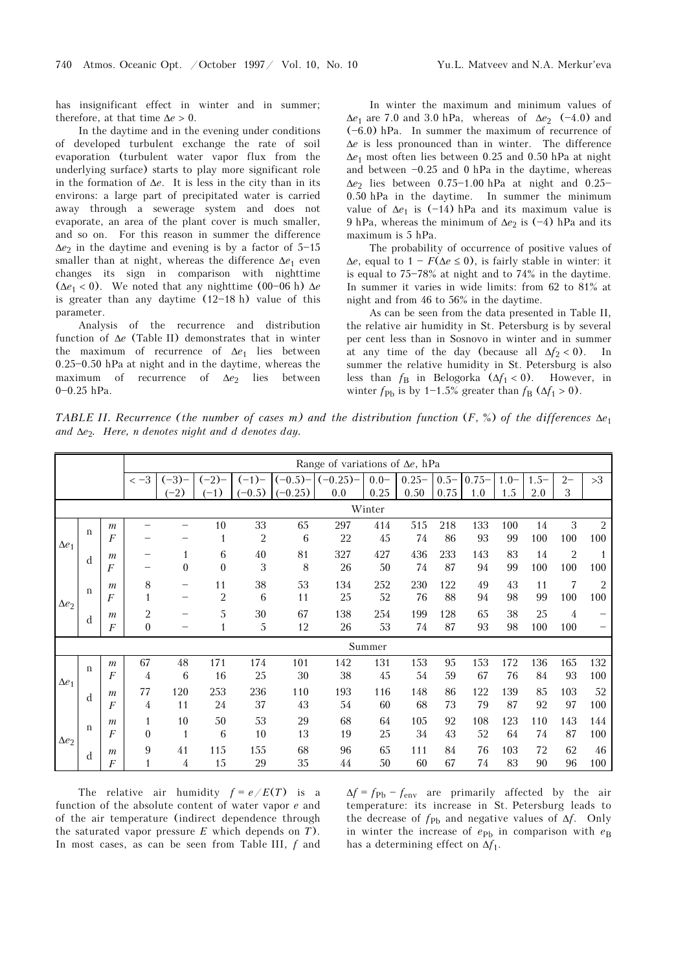has insignificant effect in winter and in summer; therefore, at that time  $\Delta e > 0$ .

In the daytime and in the evening under conditions of developed turbulent exchange the rate of soil evaporation (turbulent water vapor flux from the underlying surface) starts to play more significant role in the formation of Δ*e*. It is less in the city than in its environs: a large part of precipitated water is carried away through a sewerage system and does not evaporate, an area of the plant cover is much smaller, and so on. For this reason in summer the difference  $\Delta e_2$  in the daytime and evening is by a factor of  $5-15$ smaller than at night, whereas the difference  $\Delta e_1$  even changes its sign in comparison with nighttime ( $\Delta e_1$  < 0). We noted that any nighttime (00–06 h)  $\Delta e$ is greater than any daytime  $(12-18 h)$  value of this parameter.

Analysis of the recurrence and distribution function of Δ*e* (Table II) demonstrates that in winter the maximum of recurrence of Δ*e*1 lies between  $0.25 - 0.50$  hPa at night and in the daytime, whereas the maximum of recurrence of Δ*e*2 lies between  $0 - 0.25$  hPa.

In winter the maximum and minimum values of  $\Delta e_1$  are 7.0 and 3.0 hPa, whereas of  $\Delta e_2$  (-4.0) and  $(-6.0)$  hPa. In summer the maximum of recurrence of Δ*e* is less pronounced than in winter. The difference Δ*e*1 most often lies between 0.25 and 0.50 hPa at night and between  $-0.25$  and 0 hPa in the daytime, whereas  $\Delta e_2$  lies between 0.75-1.00 hPa at night and 0.25-0.50 hPa in the daytime. In summer the minimum value of  $\Delta e_1$  is (-14) hPa and its maximum value is 9 hPa, whereas the minimum of  $\Delta e_2$  is (-4) hPa and its maximum is 5 hPa.

The probability of occurrence of positive values of  $\Delta e$ , equal to  $1 - F(\Delta e \le 0)$ , is fairly stable in winter: it is equal to  $75-78\%$  at night and to  $74\%$  in the daytime. In summer it varies in wide limits: from 62 to 81% at night and from 46 to 56% in the daytime.

As can be seen from the data presented in Table II, the relative air humidity in St. Petersburg is by several per cent less than in Sosnovo in winter and in summer at any time of the day (because all  $\Delta f_2 < 0$ ). In summer the relative humidity in St. Petersburg is also less than  $f_B$  in Belogorka  $(\Delta f_1 < 0)$ . However, in winter  $f_{\text{Pb}}$  is by 1-1.5% greater than  $f_{\text{B}}$  ( $\Delta f_1 > 0$ ).

*TABLE II. Recurrence (the number of cases m) and the distribution function (F, %) of the differences*  $Δe_1$ *and* Δ*e*2*. Here, n denotes night and d denotes day.* 

|              |              |                  |                  |              |                |          |            |           | Range of variations of $\Delta e$ , hPa |          |         |          |        |         |                |                |  |
|--------------|--------------|------------------|------------------|--------------|----------------|----------|------------|-----------|-----------------------------------------|----------|---------|----------|--------|---------|----------------|----------------|--|
|              |              |                  | $<-3$            | $(-3)$       | $(-2)$         | $(-1)$   | $(-0.5)$ - | $(-0.25)$ | $0.0 -$                                 | $0.25 -$ | $0.5 -$ | $0.75 -$ | $1.0-$ | $1.5 -$ | $2 -$          | >3             |  |
|              |              |                  |                  | $(-2)$       | $(-1)$         | $(-0.5)$ | $(-0.25)$  | 0.0       | 0.25<br>Winter                          | 0.50     | 0.75    | 1.0      | 1.5    | 2.0     | 3              |                |  |
|              |              |                  |                  |              |                |          |            |           |                                         |          |         |          |        |         |                |                |  |
|              | $\mathbf{n}$ | $\boldsymbol{m}$ |                  |              | 10             | 33       | 65         | 297       | 414                                     | 515      | 218     | 133      | 100    | 14      | 3              | $\overline{2}$ |  |
| $\Delta e_1$ |              | $\overline{F}$   |                  |              | 1              | 2        | 6          | 22        | 45                                      | 74       | 86      | 93       | 99     | 100     | 100            | 100            |  |
|              | d            | $\mathfrak{m}$   |                  | $\mathbf{1}$ | 6              | 40       | 81         | 327       | 427                                     | 436      | 233     | 143      | 83     | 14      | $\overline{2}$ | $\overline{1}$ |  |
|              |              | $\overline{F}$   |                  | $\theta$     | $\theta$       | 3        | 8          | 26        | 50                                      | 74       | 87      | 94       | 99     | 100     | 100            | 100            |  |
| $\Delta e_2$ | $\mathbf n$  | $\boldsymbol{m}$ | 8                |              | 11             | 38       | 53         | 134       | 252                                     | 230      | 122     | 49       | 43     | 11      | 7              | $\overline{2}$ |  |
|              |              | F                | $\mathbf{1}$     |              | $\overline{2}$ | 6        | 11         | 25        | 52                                      | 76       | 88      | 94       | 98     | 99      | 100            | 100            |  |
|              | d            | $\mathfrak{m}$   | $\overline{2}$   |              | 5              | 30       | 67         | 138       | 254                                     | 199      | 128     | 65       | 38     | 25      | 4              |                |  |
|              |              | $\overline{F}$   | $\boldsymbol{0}$ |              | $\mathbf{1}$   | 5        | 12         | 26        | 53                                      | 74       | 87      | 93       | 98     | 100     | 100            |                |  |
|              |              |                  |                  |              |                |          |            |           | Summer                                  |          |         |          |        |         |                |                |  |
|              | $\mathbf n$  | $\boldsymbol{m}$ | 67               | 48           | 171            | 174      | 101        | 142       | 131                                     | 153      | 95      | 153      | 172    | 136     | 165            | 132            |  |
| $\Delta e_1$ |              | $\overline{F}$   | 4                | 6            | 16             | 25       | 30         | 38        | 45                                      | 54       | 59      | 67       | 76     | 84      | 93             | 100            |  |
|              | d            | $\mathfrak{m}$   | 77               | 120          | 253            | 236      | 110        | 193       | 116                                     | 148      | 86      | 122      | 139    | 85      | 103            | 52             |  |
|              |              | $\overline{F}$   | 4                | 11           | 24             | 37       | 43         | 54        | 60                                      | 68       | 73      | 79       | 87     | 92      | 97             | 100            |  |
|              |              | $\mathfrak{m}$   | $\mathbf{1}$     | 10           | 50             | 53       | 29         | 68        | 64                                      | 105      | 92      | 108      | 123    | 110     | 143            | 144            |  |
| $\Delta e_2$ | $\mathbf n$  | $\overline{F}$   | $\theta$         | 1            | 6              | 10       | 13         | 19        | 25                                      | 34       | 43      | 52       | 64     | 74      | 87             | 100            |  |
|              | d            | $\mathfrak{m}$   | 9                | 41           | 115            | 155      | 68         | 96        | 65                                      | 111      | 84      | 76       | 103    | 72      | 62             | 46             |  |
|              |              | $\boldsymbol{F}$ | $\mathbf{1}$     | 4            | 15             | 29       | 35         | 44        | 50                                      | 60       | 67      | 74       | 83     | 90      | 96             | 100            |  |

The relative air humidity  $f = e/E(T)$  is a function of the absolute content of water vapor *e* and of the air temperature (indirect dependence through the saturated vapor pressure *E* which depends on *T*). In most cases, as can be seen from Table III, *f* and  $\Delta f = f_{\text{Pb}} - f_{\text{env}}$  are primarily affected by the air temperature: its increase in St. Petersburg leads to the decrease of  $f_{\text{Ph}}$  and negative values of  $\Delta f$ . Only in winter the increase of  $e_{\text{Pb}}$  in comparison with  $e_{\text{B}}$ has a determining effect on  $\Delta f_1$ .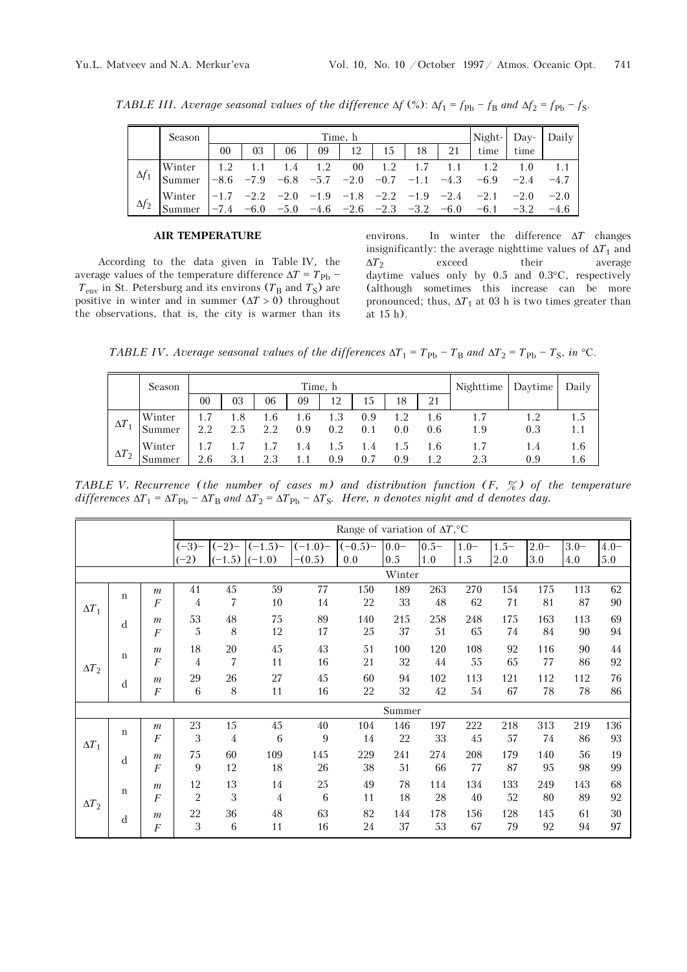|              | Season                           |    |    |    |    | Time, h |    |    | Night-                                                                                                                                                                                                                       | Day- | Daily  |
|--------------|----------------------------------|----|----|----|----|---------|----|----|------------------------------------------------------------------------------------------------------------------------------------------------------------------------------------------------------------------------------|------|--------|
|              |                                  | 00 | 03 | 06 | 09 | 12      | 15 | 18 | $21 \quad$ time                                                                                                                                                                                                              | time |        |
| $\Delta f_1$ | Winter $\vert$ 1.2 1.1<br>Summer |    |    |    |    |         |    |    | 1.4 1.2 00 1.2 1.7 1.1 1.2 1.0<br>$\begin{array}{ccccccccccccc} -8.6 & -7.9 & -6.8 & -5.7 & -2.0 & -0.7 & -1.1 & -4.3 & -6.9 & -2.4 \end{array}$                                                                             |      | $-4.7$ |
| $\Delta f_2$ | Winter                           |    |    |    |    |         |    |    | $\begin{array}{cccccc} -1.7 & -2.2 & -2.0 & -1.9 & -1.8 & -2.2 & -1.9 & -2.4 & -2.1 & -2.0 & -2.0 \end{array}$<br>$\begin{array}{ccccccccc} -7.4 & -6.0 & -5.0 & -4.6 & -2.6 & -2.3 & -3.2 & -6.0 & -6.1 & -3.2 \end{array}$ |      | $-4.6$ |

*TABLE III. Average seasonal values of the difference*  $\Delta f$  (%):  $\Delta f_1 = f_{\text{Pb}} - f_{\text{B}}$  *and*  $\Delta f_2 = f_{\text{Pb}} - f_{\text{S}}$ .

## **AIR TEMPERATURE**

According to the data given in Table IV, the average values of the temperature difference  $\Delta T = T_{\text{Ph}}$  –  $T_{\text{env}}$  in St. Petersburg and its environs ( $T_B$  and  $T_S$ ) are positive in winter and in summer  $(\Delta T > 0)$  throughout the observations, that is, the city is warmer than its environs. In winter the difference Δ*T* changes insignificantly: the average nighttime values of  $\Delta T_1$  and  $\Delta T_2$  exceed their average  $ΔT<sub>2</sub>$  exceed their average daytime values only by 0.5 and 0.3°C, respectively (although sometimes this increase can be more pronounced; thus,  $\Delta T_1$  at 03 h is two times greater than at 15 h).

*TABLE IV. Average seasonal values of the differences*  $\Delta T_1 = T_{\text{Pb}} - T_{\text{B}}$  *and*  $\Delta T_2 = T_{\text{Pb}} - T_{\text{S}}$ , *in* °C.

|              | Season |     |     |     | Nighttime Daytime |     | Daily |     |     |     |     |     |
|--------------|--------|-----|-----|-----|-------------------|-----|-------|-----|-----|-----|-----|-----|
|              |        | 00  | 03  | 06  | 09                | 12  | 15    | 18  | 21  |     |     |     |
| $\Delta T$   | Winter |     | 1.8 | 1.6 | 1.6               | 1.3 | 0.9   |     | 1.6 | 1.7 |     | 1.5 |
|              | Summer |     | 2.5 | 2.2 | 0.9               | 0.2 | 0.1   | 0.0 | 0.6 | 1.9 | 0.3 |     |
|              | Winter |     |     |     | 1.4               | 1.5 | 1.4   |     | 1.6 | 1.7 | 1.4 | 1.6 |
| $\Delta T_2$ | Summer | 2.6 | 3.1 | 2.3 | 1.1               | 0.9 | 0.7   | 0.9 | 1.2 | 2.3 | 0.9 | 1.6 |

*TABLE V. Recurrence (the number of cases m) and distribution function (F, %) of the temperature*   $differences \Delta T_1 = \Delta T_{\text{Pb}} - \Delta T_{\text{B}}$  and  $\Delta T_2 = \Delta T_{\text{Pb}} - \Delta T_{\text{S}}$ . Here, n denotes night and d denotes day.

|              |             |                  |                  |                |                               |                      | Range of variation of $\Delta T$ , °C |                |                |                |               |                |                |                    |
|--------------|-------------|------------------|------------------|----------------|-------------------------------|----------------------|---------------------------------------|----------------|----------------|----------------|---------------|----------------|----------------|--------------------|
|              |             |                  | $(-3)$<br>$(-2)$ | $(-2)$         | $(-1.5)$<br>$(-1.5)$ $(-1.0)$ | $(-1.0)$<br>$-(0.5)$ | $(-0.5)$<br>0.0                       | $0.0 -$<br>0.5 | $0.5 -$<br>1.0 | $1.0 -$<br>1.5 | $1.5-$<br>2.0 | $2.0 -$<br>3.0 | $3.0 -$<br>4.0 | $4.0 -$<br>$5.0\,$ |
|              |             |                  |                  |                |                               |                      |                                       | Winter         |                |                |               |                |                |                    |
|              | $\mathbf n$ | $\boldsymbol{m}$ | 41               | 45             | 59                            | 77                   | 150                                   | 189            | 263            | 270            | 154           | 175            | 113            | 62                 |
| $\Delta T_1$ |             | F                | 4                | 7              | 10                            | 14                   | 22                                    | 33             | 48             | 62             | 71            | 81             | 87             | 90                 |
|              | d           | $\boldsymbol{m}$ | 53               | 48             | 75                            | 89                   | 140                                   | 215            | 258            | 248            | 175           | 163            | 113            | 69                 |
|              |             | F                | 5                | 8              | 12                            | 17                   | 25                                    | 37             | 51             | 65             | 74            | $84\,$         | 90             | 94                 |
| $\Delta T_2$ | $\mathbf n$ | $\boldsymbol{m}$ | 18               | 20             | 45                            | 43                   | 51                                    | 100            | 120            | 108            | 92            | 116            | 90             | 44                 |
|              |             | $\overline{F}$   | 4                | 7              | 11                            | 16                   | 21                                    | 32             | 44             | 55             | 65            | 77             | 86             | 92                 |
|              | d           | $\boldsymbol{m}$ | 29               | 26             | 27                            | 45                   | 60                                    | 94             | 102            | 113            | 121           | 112            | 112            | 76                 |
|              |             | $\boldsymbol{F}$ | 6                | 8              | 11                            | 16                   | 22                                    | 32             | 42             | 54             | 67            | 78             | 78             | 86                 |
|              |             |                  |                  |                |                               |                      |                                       | Summer         |                |                |               |                |                |                    |
|              | $\mathbf n$ | $\boldsymbol{m}$ | 23               | 15             | $45\,$                        | 40                   | 104                                   | 146            | 197            | 222            | 218           | 313            | 219            | 136                |
| $\Delta T_1$ |             | $\boldsymbol{F}$ | 3                | $\overline{4}$ | 6                             | 9                    | 14                                    | 22             | 33             | 45             | 57            | 74             | 86             | 93                 |
|              | d           | $\mathfrak{m}$   | 75               | 60             | 109                           | 145                  | 229                                   | 241            | 274            | 208            | 179           | 140            | 56             | 19                 |
|              |             | $\overline{F}$   | 9                | 12             | 18                            | 26                   | 38                                    | 51             | 66             | 77             | 87            | 95             | 98             | 99                 |
| $\Delta T_2$ | $\mathbf n$ | $\boldsymbol{m}$ | 12               | 13             | 14                            | 25                   | 49                                    | 78             | 114            | 134            | 133           | 249            | 143            | 68                 |
|              |             | F                | $\overline{2}$   | 3              | $\overline{4}$                | 6                    | 11                                    | 18             | 28             | 40             | 52            | 80             | 89             | 92                 |
|              | d           | $\boldsymbol{m}$ | 22               | 36             | 48                            | 63                   | 82                                    | 144            | 178            | 156            | 128           | 145            | 61             | 30                 |
|              |             | $\overline{F}$   | 3                | 6              | 11                            | 16                   | 24                                    | 37             | 53             | 67             | 79            | 92             | 94             | 97                 |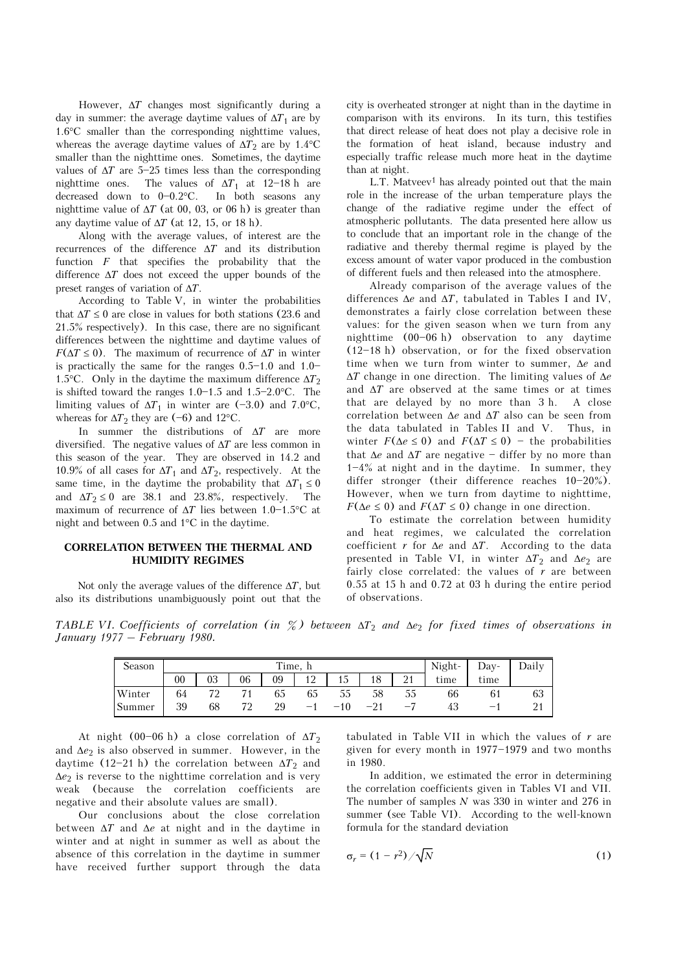However, Δ*T* changes most significantly during a day in summer: the average daytime values of  $\Delta T_1$  are by 1.6°C smaller than the corresponding nighttime values, whereas the average daytime values of  $\Delta T_2$  are by 1.4°C smaller than the nighttime ones. Sometimes, the daytime values of  $\Delta T$  are 5-25 times less than the corresponding nighttime ones. The values of  $\Delta T_1$  at 12-18 h are decreased down to  $0-0.2$ °C. In both seasons any nighttime value of  $\Delta T$  (at 00, 03, or 06 h) is greater than any daytime value of  $\Delta T$  (at 12, 15, or 18 h).

Along with the average values, of interest are the recurrences of the difference Δ*T* and its distribution function *F* that specifies the probability that the difference Δ*T* does not exceed the upper bounds of the preset ranges of variation of Δ*T*.

According to Table V, in winter the probabilities that  $\Delta T \leq 0$  are close in values for both stations (23.6 and 21.5% respectively). In this case, there are no significant differences between the nighttime and daytime values of *F*( $\Delta T \leq 0$ ). The maximum of recurrence of  $\Delta T$  in winter is practically the same for the ranges  $0.5-1.0$  and  $1.0-$ 1.5°C. Only in the daytime the maximum difference  $\Delta T_2$ is shifted toward the ranges  $1.0 - 1.5$  and  $1.5 - 2.0$ °C. The limiting values of  $\Delta T_1$  in winter are (-3.0) and 7.0°C, whereas for  $\Delta T_2$  they are (-6) and 12°C.

In summer the distributions of Δ*T* are more diversified. The negative values of Δ*T* are less common in this season of the year. They are observed in 14.2 and 10.9% of all cases for  $\Delta T_1$  and  $\Delta T_2$ , respectively. At the same time, in the daytime the probability that  $\Delta T_1 \leq 0$ and  $\Delta T_2 \le 0$  are 38.1 and 23.8%, respectively. The maximum of recurrence of  $\Delta T$  lies between 1.0-1.5°C at night and between 0.5 and 1°C in the daytime.

### **CORRELATION BETWEEN THE THERMAL AND HUMIDITY REGIMES**

Not only the average values of the difference Δ*T*, but also its distributions unambiguously point out that the city is overheated stronger at night than in the daytime in comparison with its environs. In its turn, this testifies that direct release of heat does not play a decisive role in the formation of heat island, because industry and especially traffic release much more heat in the daytime than at night.

L.T. Matveev<sup>1</sup> has already pointed out that the main role in the increase of the urban temperature plays the change of the radiative regime under the effect of atmospheric pollutants. The data presented here allow us to conclude that an important role in the change of the radiative and thereby thermal regime is played by the excess amount of water vapor produced in the combustion of different fuels and then released into the atmosphere.

Already comparison of the average values of the differences Δ*e* and Δ*T*, tabulated in Tables I and IV, demonstrates a fairly close correlation between these values: for the given season when we turn from any nighttime  $(00-06 h)$  observation to any daytime  $(12-18 h)$  observation, or for the fixed observation time when we turn from winter to summer, Δ*e* and Δ*T* change in one direction. The limiting values of Δ*e* and Δ*T* are observed at the same times or at times that are delayed by no more than 3 h. A close correlation between Δ*e* and Δ*T* also can be seen from the data tabulated in Tables II and V. Thus, in winter  $F(\Delta e \leq 0)$  and  $F(\Delta T \leq 0)$  - the probabilities that  $\Delta e$  and  $\Delta T$  are negative  $-$  differ by no more than  $1-4\%$  at night and in the daytime. In summer, they differ stronger (their difference reaches  $10-20%$ ). However, when we turn from daytime to nighttime, *F*( $\Delta e \leq 0$ ) and *F*( $\Delta T \leq 0$ ) change in one direction.

To estimate the correlation between humidity and heat regimes, we calculated the correlation coefficient *r* for Δ*e* and Δ*T*. According to the data presented in Table VI, in winter  $\Delta T_2$  and  $\Delta e_2$  are fairly close correlated: the values of *r* are between 0.55 at 15 h and 0.72 at 03 h during the entire period of observations.

*TABLE VI. Coefficients of correlation (in %) between* Δ*T*2 *and* Δ*e*<sup>2</sup> *for fixed times of observations in January 1977 – February 1980.* 

| Season |        |    |    | Night- | Day- | Daily |    |           |      |      |    |
|--------|--------|----|----|--------|------|-------|----|-----------|------|------|----|
|        | $00\,$ | 03 | 06 | 09     | 12   | 1 J   | 18 | 21<br>∠ 1 | time | time |    |
| Winter | 64     | 79 |    | 65     | 65   | აა    | 58 | JЭ        | 66   |      | ხპ |
| Summer | 39     | 68 | 72 | 29     | $-$  |       |    |           | 45   |      |    |

At night (00-06 h) a close correlation of  $\Delta T_2$ and  $\Delta e_2$  is also observed in summer. However, in the daytime (12-21 h) the correlation between  $\Delta T_2$  and Δ*e*2 is reverse to the nighttime correlation and is very weak (because the correlation coefficients are negative and their absolute values are small).

Our conclusions about the close correlation between Δ*T* and Δ*e* at night and in the daytime in winter and at night in summer as well as about the absence of this correlation in the daytime in summer have received further support through the data tabulated in Table VII in which the values of *r* are given for every month in  $1977-1979$  and two months in 1980.

In addition, we estimated the error in determining the correlation coefficients given in Tables VI and VII. The number of samples *N* was 330 in winter and 276 in summer (see Table VI). According to the well-known formula for the standard deviation

$$
\sigma_r = (1 - r^2) / \sqrt{N} \tag{1}
$$